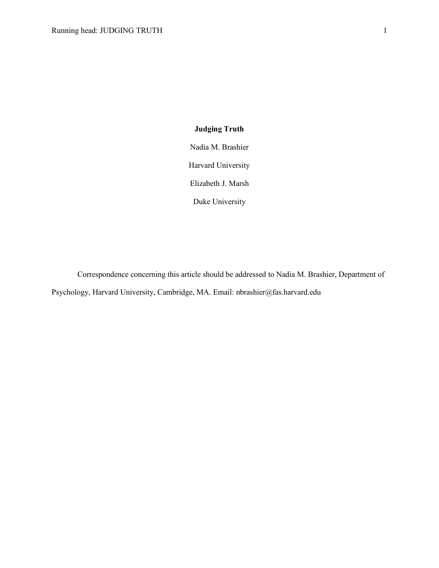**Judging Truth** Nadia M. Brashier Harvard University Elizabeth J. Marsh Duke University

Correspondence concerning this article should be addressed to Nadia M. Brashier, Department of Psychology, Harvard University, Cambridge, MA. Email: nbrashier@fas.harvard.edu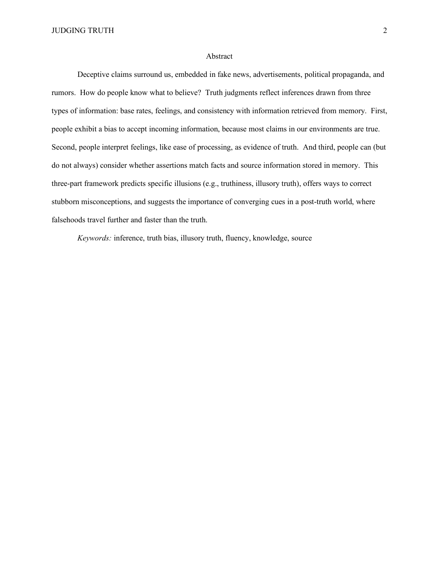#### Abstract

Deceptive claims surround us, embedded in fake news, advertisements, political propaganda, and rumors. How do people know what to believe? Truth judgments reflect inferences drawn from three types of information: base rates, feelings, and consistency with information retrieved from memory. First, people exhibit a bias to accept incoming information, because most claims in our environments are true. Second, people interpret feelings, like ease of processing, as evidence of truth. And third, people can (but do not always) consider whether assertions match facts and source information stored in memory. This three-part framework predicts specific illusions (e.g., truthiness, illusory truth), offers ways to correct stubborn misconceptions, and suggests the importance of converging cues in a post-truth world, where falsehoods travel further and faster than the truth.

*Keywords:* inference, truth bias, illusory truth, fluency, knowledge, source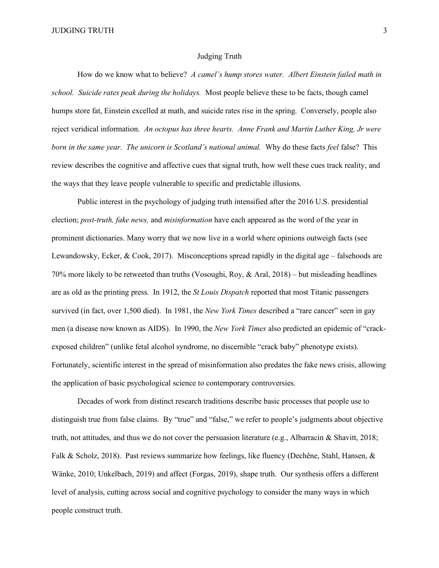#### Judging Truth

How do we know what to believe? *A camel's hump stores water. Albert Einstein failed math in school. Suicide rates peak during the holidays.* Most people believe these to be facts, though camel humps store fat, Einstein excelled at math, and suicide rates rise in the spring. Conversely, people also reject veridical information. *An octopus has three hearts. Anne Frank and Martin Luther King, Jr were born in the same year. The unicorn is Scotland's national animal.* Why do these facts *feel* false? This review describes the cognitive and affective cues that signal truth, how well these cues track reality, and the ways that they leave people vulnerable to specific and predictable illusions.

Public interest in the psychology of judging truth intensified after the 2016 U.S. presidential election; *post-truth, fake news,* and *misinformation* have each appeared as the word of the year in prominent dictionaries. Many worry that we now live in a world where opinions outweigh facts (see Lewandowsky, Ecker, & Cook, 2017). Misconceptions spread rapidly in the digital age – falsehoods are 70% more likely to be retweeted than truths (Vosoughi, Roy, & Aral, 2018) – but misleading headlines are as old as the printing press. In 1912, the *St Louis Dispatch* reported that most Titanic passengers survived (in fact, over 1,500 died). In 1981, the *New York Times* described a "rare cancer" seen in gay men (a disease now known as AIDS). In 1990, the *New York Times* also predicted an epidemic of "crackexposed children" (unlike fetal alcohol syndrome, no discernible "crack baby" phenotype exists). Fortunately, scientific interest in the spread of misinformation also predates the fake news crisis, allowing the application of basic psychological science to contemporary controversies.

Decades of work from distinct research traditions describe basic processes that people use to distinguish true from false claims. By "true" and "false," we refer to people's judgments about objective truth, not attitudes, and thus we do not cover the persuasion literature (e.g., Albarracin & Shavitt, 2018; Falk & Scholz, 2018). Past reviews summarize how feelings, like fluency (Dechêne, Stahl, Hansen, & Wänke, 2010; Unkelbach, 2019) and affect (Forgas, 2019), shape truth. Our synthesis offers a different level of analysis, cutting across social and cognitive psychology to consider the many ways in which people construct truth.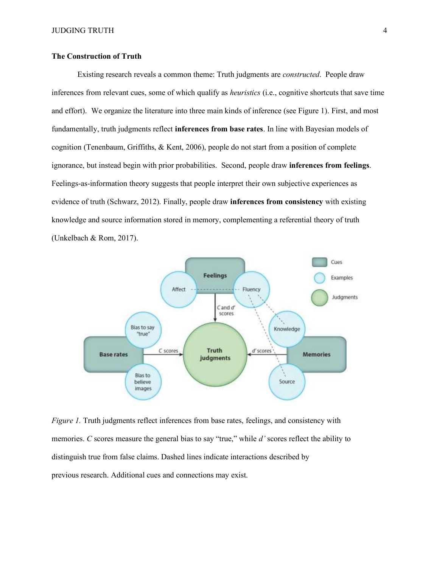## **The Construction of Truth**

Existing research reveals a common theme: Truth judgments are *constructed*. People draw inferences from relevant cues, some of which qualify as *heuristics* (i.e., cognitive shortcuts that save time and effort). We organize the literature into three main kinds of inference (see Figure 1). First, and most fundamentally, truth judgments reflect **inferences from base rates**. In line with Bayesian models of cognition (Tenenbaum, Griffiths, & Kent, 2006), people do not start from a position of complete ignorance, but instead begin with prior probabilities. Second, people draw **inferences from feelings**. Feelings-as-information theory suggests that people interpret their own subjective experiences as evidence of truth (Schwarz, 2012). Finally, people draw **inferences from consistency** with existing knowledge and source information stored in memory, complementing a referential theory of truth (Unkelbach & Rom, 2017).



*Figure 1.* Truth judgments reflect inferences from base rates, feelings, and consistency with memories. *C* scores measure the general bias to say "true," while *d'* scores reflect the ability to distinguish true from false claims. Dashed lines indicate interactions described by previous research. Additional cues and connections may exist.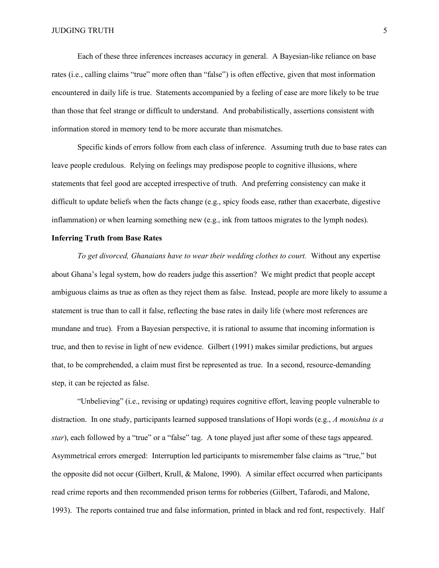Each of these three inferences increases accuracy in general. A Bayesian-like reliance on base rates (i.e., calling claims "true" more often than "false") is often effective, given that most information encountered in daily life is true. Statements accompanied by a feeling of ease are more likely to be true than those that feel strange or difficult to understand. And probabilistically, assertions consistent with information stored in memory tend to be more accurate than mismatches.

Specific kinds of errors follow from each class of inference. Assuming truth due to base rates can leave people credulous. Relying on feelings may predispose people to cognitive illusions, where statements that feel good are accepted irrespective of truth. And preferring consistency can make it difficult to update beliefs when the facts change (e.g., spicy foods ease, rather than exacerbate, digestive inflammation) or when learning something new (e.g., ink from tattoos migrates to the lymph nodes).

## **Inferring Truth from Base Rates**

*To get divorced, Ghanaians have to wear their wedding clothes to court.* Without any expertise about Ghana's legal system, how do readers judge this assertion? We might predict that people accept ambiguous claims as true as often as they reject them as false. Instead, people are more likely to assume a statement is true than to call it false, reflecting the base rates in daily life (where most references are mundane and true). From a Bayesian perspective, it is rational to assume that incoming information is true, and then to revise in light of new evidence. Gilbert (1991) makes similar predictions, but argues that, to be comprehended, a claim must first be represented as true. In a second, resource-demanding step, it can be rejected as false.

"Unbelieving" (i.e., revising or updating) requires cognitive effort, leaving people vulnerable to distraction. In one study, participants learned supposed translations of Hopi words (e.g., *A monishna is a star*), each followed by a "true" or a "false" tag. A tone played just after some of these tags appeared. Asymmetrical errors emerged: Interruption led participants to misremember false claims as "true," but the opposite did not occur (Gilbert, Krull, & Malone, 1990). A similar effect occurred when participants read crime reports and then recommended prison terms for robberies (Gilbert, Tafarodi, and Malone, 1993). The reports contained true and false information, printed in black and red font, respectively. Half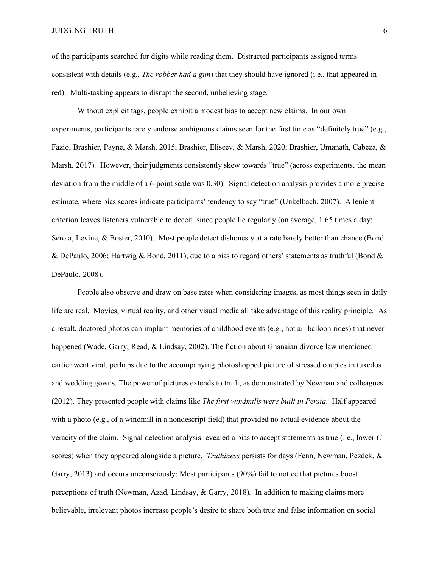of the participants searched for digits while reading them. Distracted participants assigned terms consistent with details (e.g., *The robber had a gun*) that they should have ignored (i.e., that appeared in red). Multi-tasking appears to disrupt the second, unbelieving stage.

Without explicit tags, people exhibit a modest bias to accept new claims. In our own experiments, participants rarely endorse ambiguous claims seen for the first time as "definitely true" (e.g., Fazio, Brashier, Payne, & Marsh, 2015; Brashier, Eliseev, & Marsh, 2020; Brashier, Umanath, Cabeza, & Marsh, 2017). However, their judgments consistently skew towards "true" (across experiments, the mean deviation from the middle of a 6-point scale was 0.30). Signal detection analysis provides a more precise estimate, where bias scores indicate participants' tendency to say "true" (Unkelbach, 2007). A lenient criterion leaves listeners vulnerable to deceit, since people lie regularly (on average, 1.65 times a day; Serota, Levine, & Boster, 2010). Most people detect dishonesty at a rate barely better than chance (Bond & DePaulo, 2006; Hartwig & Bond, 2011), due to a bias to regard others' statements as truthful (Bond & DePaulo, 2008).

People also observe and draw on base rates when considering images, as most things seen in daily life are real. Movies, virtual reality, and other visual media all take advantage of this reality principle. As a result, doctored photos can implant memories of childhood events (e.g., hot air balloon rides) that never happened (Wade, Garry, Read, & Lindsay, 2002). The fiction about Ghanaian divorce law mentioned earlier went viral, perhaps due to the accompanying photoshopped picture of stressed couples in tuxedos and wedding gowns. The power of pictures extends to truth, as demonstrated by Newman and colleagues (2012). They presented people with claims like *The first windmills were built in Persia*. Half appeared with a photo (e.g., of a windmill in a nondescript field) that provided no actual evidence about the veracity of the claim. Signal detection analysis revealed a bias to accept statements as true (i.e., lower *C* scores) when they appeared alongside a picture. *Truthiness* persists for days (Fenn, Newman, Pezdek, & Garry, 2013) and occurs unconsciously: Most participants (90%) fail to notice that pictures boost perceptions of truth (Newman, Azad, Lindsay, & Garry, 2018). In addition to making claims more believable, irrelevant photos increase people's desire to share both true and false information on social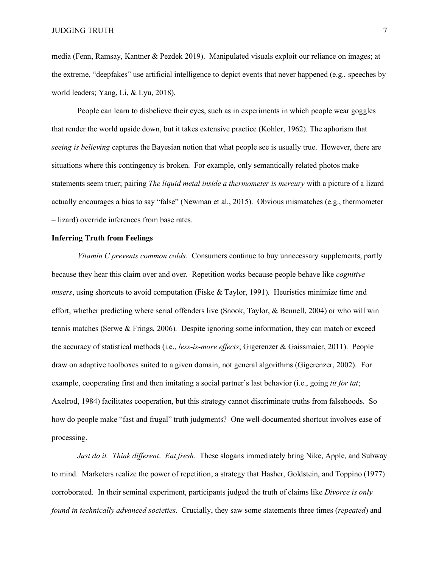media (Fenn, Ramsay, Kantner & Pezdek 2019). Manipulated visuals exploit our reliance on images; at the extreme, "deepfakes" use artificial intelligence to depict events that never happened (e.g., speeches by world leaders; Yang, Li, & Lyu, 2018).

People can learn to disbelieve their eyes, such as in experiments in which people wear goggles that render the world upside down, but it takes extensive practice (Kohler, 1962). The aphorism that *seeing is believing* captures the Bayesian notion that what people see is usually true. However, there are situations where this contingency is broken. For example, only semantically related photos make statements seem truer; pairing *The liquid metal inside a thermometer is mercury* with a picture of a lizard actually encourages a bias to say "false" (Newman et al., 2015). Obvious mismatches (e.g., thermometer – lizard) override inferences from base rates.

#### **Inferring Truth from Feelings**

*Vitamin C prevents common colds.* Consumers continue to buy unnecessary supplements, partly because they hear this claim over and over. Repetition works because people behave like *cognitive misers*, using shortcuts to avoid computation (Fiske & Taylor, 1991). Heuristics minimize time and effort, whether predicting where serial offenders live (Snook, Taylor, & Bennell, 2004) or who will win tennis matches (Serwe & Frings, 2006). Despite ignoring some information, they can match or exceed the accuracy of statistical methods (i.e., *less-is-more effects*; Gigerenzer & Gaissmaier, 2011). People draw on adaptive toolboxes suited to a given domain, not general algorithms (Gigerenzer, 2002). For example, cooperating first and then imitating a social partner's last behavior (i.e., going *tit for tat*; Axelrod, 1984) facilitates cooperation, but this strategy cannot discriminate truths from falsehoods. So how do people make "fast and frugal" truth judgments? One well-documented shortcut involves ease of processing.

*Just do it. Think different*. *Eat fresh.* These slogans immediately bring Nike, Apple, and Subway to mind. Marketers realize the power of repetition, a strategy that Hasher, Goldstein, and Toppino (1977) corroborated. In their seminal experiment, participants judged the truth of claims like *Divorce is only found in technically advanced societies*. Crucially, they saw some statements three times (*repeated*) and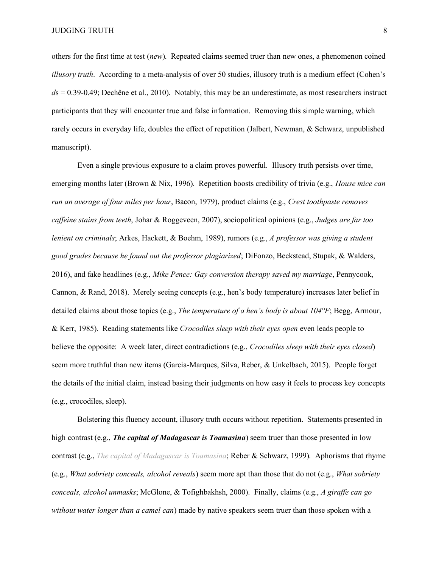others for the first time at test (*new*). Repeated claims seemed truer than new ones, a phenomenon coined *illusory truth*. According to a meta-analysis of over 50 studies, illusory truth is a medium effect (Cohen's *d*s = 0.39-0.49; Dechêne et al., 2010). Notably, this may be an underestimate, as most researchers instruct participants that they will encounter true and false information. Removing this simple warning, which rarely occurs in everyday life, doubles the effect of repetition (Jalbert, Newman, & Schwarz, unpublished manuscript).

Even a single previous exposure to a claim proves powerful. Illusory truth persists over time, emerging months later (Brown & Nix, 1996). Repetition boosts credibility of trivia (e.g., *House mice can run an average of four miles per hour*, Bacon, 1979), product claims (e.g., *Crest toothpaste removes caffeine stains from teeth*, Johar & Roggeveen, 2007), sociopolitical opinions (e.g., *Judges are far too lenient on criminals*; Arkes, Hackett, & Boehm, 1989), rumors (e.g., *A professor was giving a student good grades because he found out the professor plagiarized*; DiFonzo, Beckstead, Stupak, & Walders, 2016), and fake headlines (e.g., *Mike Pence: Gay conversion therapy saved my marriage*, Pennycook, Cannon, & Rand, 2018). Merely seeing concepts (e.g., hen's body temperature) increases later belief in detailed claims about those topics (e.g., *The temperature of a hen's body is about 104°F*; Begg, Armour, & Kerr, 1985). Reading statements like *Crocodiles sleep with their eyes open* even leads people to believe the opposite: A week later, direct contradictions (e.g., *Crocodiles sleep with their eyes closed*) seem more truthful than new items (Garcia-Marques, Silva, Reber, & Unkelbach, 2015). People forget the details of the initial claim, instead basing their judgments on how easy it feels to process key concepts (e.g., crocodiles, sleep).

Bolstering this fluency account, illusory truth occurs without repetition. Statements presented in high contrast (e.g., *The capital of Madagascar is Toamasina*) seem truer than those presented in low contrast (e.g., *The capital of Madagascar is Toamasina*; Reber & Schwarz, 1999). Aphorisms that rhyme (e.g., *What sobriety conceals, alcohol reveals*) seem more apt than those that do not (e.g., *What sobriety conceals, alcohol unmasks*; McGlone, & Tofighbakhsh, 2000). Finally, claims (e.g., *A giraffe can go without water longer than a camel can*) made by native speakers seem truer than those spoken with a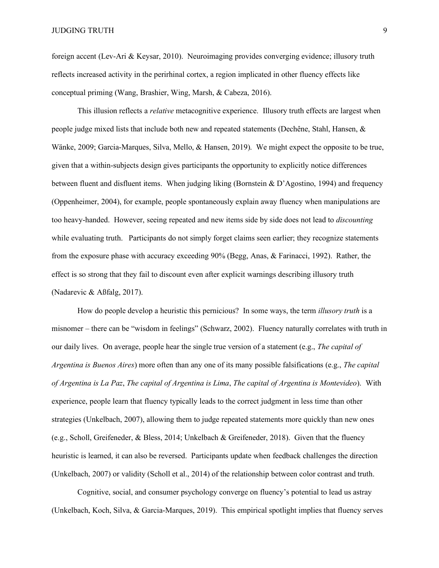foreign accent (Lev-Ari & Keysar, 2010). Neuroimaging provides converging evidence; illusory truth reflects increased activity in the perirhinal cortex, a region implicated in other fluency effects like conceptual priming (Wang, Brashier, Wing, Marsh, & Cabeza, 2016).

This illusion reflects a *relative* metacognitive experience. Illusory truth effects are largest when people judge mixed lists that include both new and repeated statements (Dechêne, Stahl, Hansen, & Wänke, 2009; Garcia-Marques, Silva, Mello, & Hansen, 2019). We might expect the opposite to be true, given that a within-subjects design gives participants the opportunity to explicitly notice differences between fluent and disfluent items. When judging liking (Bornstein & D'Agostino, 1994) and frequency (Oppenheimer, 2004), for example, people spontaneously explain away fluency when manipulations are too heavy-handed. However, seeing repeated and new items side by side does not lead to *discounting* while evaluating truth. Participants do not simply forget claims seen earlier; they recognize statements from the exposure phase with accuracy exceeding 90% (Begg, Anas, & Farinacci, 1992). Rather, the effect is so strong that they fail to discount even after explicit warnings describing illusory truth (Nadarevic & Aßfalg, 2017).

How do people develop a heuristic this pernicious? In some ways, the term *illusory truth* is a misnomer – there can be "wisdom in feelings" (Schwarz, 2002). Fluency naturally correlates with truth in our daily lives. On average, people hear the single true version of a statement (e.g., *The capital of Argentina is Buenos Aires*) more often than any one of its many possible falsifications (e.g., *The capital of Argentina is La Paz*, *The capital of Argentina is Lima*, *The capital of Argentina is Montevideo*). With experience, people learn that fluency typically leads to the correct judgment in less time than other strategies (Unkelbach, 2007), allowing them to judge repeated statements more quickly than new ones (e.g., Scholl, Greifeneder, & Bless, 2014; Unkelbach & Greifeneder, 2018). Given that the fluency heuristic is learned, it can also be reversed. Participants update when feedback challenges the direction (Unkelbach, 2007) or validity (Scholl et al., 2014) of the relationship between color contrast and truth.

Cognitive, social, and consumer psychology converge on fluency's potential to lead us astray (Unkelbach, Koch, Silva, & Garcia-Marques, 2019). This empirical spotlight implies that fluency serves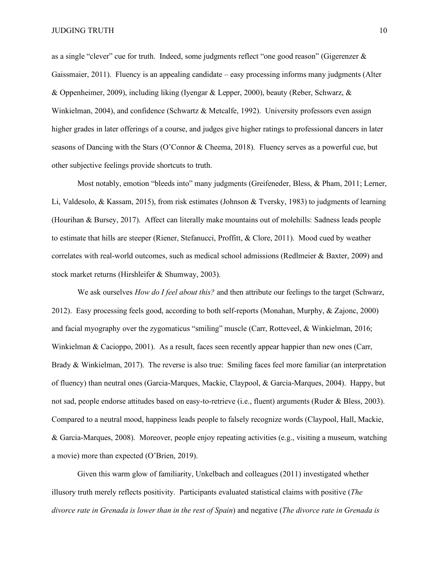as a single "clever" cue for truth. Indeed, some judgments reflect "one good reason" (Gigerenzer & Gaissmaier, 2011). Fluency is an appealing candidate – easy processing informs many judgments (Alter & Oppenheimer, 2009), including liking (Iyengar & Lepper, 2000), beauty (Reber, Schwarz, & Winkielman, 2004), and confidence (Schwartz & Metcalfe, 1992). University professors even assign higher grades in later offerings of a course, and judges give higher ratings to professional dancers in later seasons of Dancing with the Stars (O'Connor & Cheema, 2018). Fluency serves as a powerful cue, but other subjective feelings provide shortcuts to truth.

Most notably, emotion "bleeds into" many judgments (Greifeneder, Bless, & Pham, 2011; Lerner, Li, Valdesolo, & Kassam, 2015), from risk estimates (Johnson & Tversky, 1983) to judgments of learning (Hourihan & Bursey, 2017). Affect can literally make mountains out of molehills: Sadness leads people to estimate that hills are steeper (Riener, Stefanucci, Proffitt, & Clore, 2011). Mood cued by weather correlates with real-world outcomes, such as medical school admissions (Redlmeier & Baxter, 2009) and stock market returns (Hirshleifer & Shumway, 2003).

We ask ourselves *How do I feel about this?* and then attribute our feelings to the target (Schwarz, 2012). Easy processing feels good, according to both self-reports (Monahan, Murphy, & Zajonc, 2000) and facial myography over the zygomaticus "smiling" muscle (Carr, Rotteveel, & Winkielman, 2016; Winkielman & Cacioppo, 2001). As a result, faces seen recently appear happier than new ones (Carr, Brady & Winkielman, 2017). The reverse is also true: Smiling faces feel more familiar (an interpretation of fluency) than neutral ones (Garcia-Marques, Mackie, Claypool, & Garcia-Marques, 2004). Happy, but not sad, people endorse attitudes based on easy-to-retrieve (i.e., fluent) arguments (Ruder & Bless, 2003). Compared to a neutral mood, happiness leads people to falsely recognize words (Claypool, Hall, Mackie, & Garcia-Marques, 2008). Moreover, people enjoy repeating activities (e.g., visiting a museum, watching a movie) more than expected (O'Brien, 2019).

Given this warm glow of familiarity, Unkelbach and colleagues (2011) investigated whether illusory truth merely reflects positivity. Participants evaluated statistical claims with positive (*The divorce rate in Grenada is lower than in the rest of Spain*) and negative (*The divorce rate in Grenada is*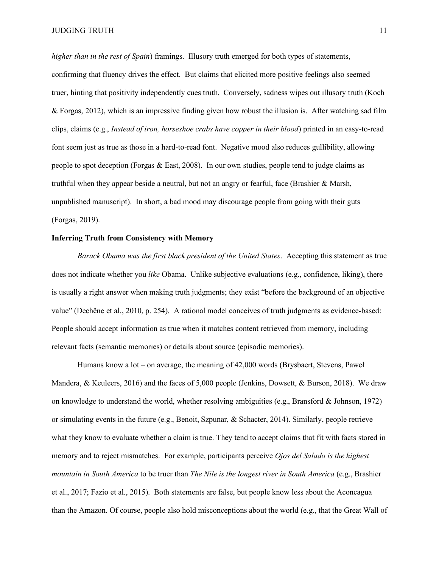*higher than in the rest of Spain*) framings. Illusory truth emerged for both types of statements, confirming that fluency drives the effect. But claims that elicited more positive feelings also seemed truer, hinting that positivity independently cues truth. Conversely, sadness wipes out illusory truth (Koch & Forgas, 2012), which is an impressive finding given how robust the illusion is. After watching sad film clips, claims (e.g., *Instead of iron, horseshoe crabs have copper in their blood*) printed in an easy-to-read font seem just as true as those in a hard-to-read font. Negative mood also reduces gullibility, allowing people to spot deception (Forgas & East, 2008). In our own studies, people tend to judge claims as truthful when they appear beside a neutral, but not an angry or fearful, face (Brashier & Marsh, unpublished manuscript). In short, a bad mood may discourage people from going with their guts (Forgas, 2019).

## **Inferring Truth from Consistency with Memory**

*Barack Obama was the first black president of the United States*. Accepting this statement as true does not indicate whether you *like* Obama. Unlike subjective evaluations (e.g., confidence, liking), there is usually a right answer when making truth judgments; they exist "before the background of an objective value" (Dechêne et al., 2010, p. 254). A rational model conceives of truth judgments as evidence-based: People should accept information as true when it matches content retrieved from memory, including relevant facts (semantic memories) or details about source (episodic memories).

Humans know a lot – on average, the meaning of 42,000 words (Brysbaert, Stevens, Paweł Mandera, & Keuleers, 2016) and the faces of 5,000 people (Jenkins, Dowsett, & Burson, 2018). We draw on knowledge to understand the world, whether resolving ambiguities (e.g., Bransford & Johnson, 1972) or simulating events in the future (e.g., Benoit, Szpunar, & Schacter, 2014). Similarly, people retrieve what they know to evaluate whether a claim is true. They tend to accept claims that fit with facts stored in memory and to reject mismatches. For example, participants perceive *Ojos del Salado is the highest mountain in South America* to be truer than *The Nile is the longest river in South America* (e.g., Brashier et al., 2017; Fazio et al., 2015). Both statements are false, but people know less about the Aconcagua than the Amazon. Of course, people also hold misconceptions about the world (e.g., that the Great Wall of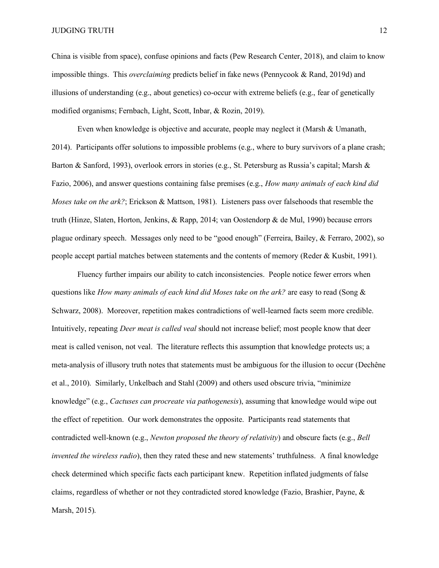China is visible from space), confuse opinions and facts (Pew Research Center, 2018), and claim to know impossible things. This *overclaiming* predicts belief in fake news (Pennycook & Rand, 2019d) and illusions of understanding (e.g., about genetics) co-occur with extreme beliefs (e.g., fear of genetically modified organisms; Fernbach, Light, Scott, Inbar, & Rozin, 2019).

Even when knowledge is objective and accurate, people may neglect it (Marsh & Umanath, 2014). Participants offer solutions to impossible problems (e.g., where to bury survivors of a plane crash; Barton & Sanford, 1993), overlook errors in stories (e.g., St. Petersburg as Russia's capital; Marsh & Fazio, 2006), and answer questions containing false premises (e.g., *How many animals of each kind did Moses take on the ark?*; Erickson & Mattson, 1981). Listeners pass over falsehoods that resemble the truth (Hinze, Slaten, Horton, Jenkins, & Rapp, 2014; van Oostendorp & de Mul, 1990) because errors plague ordinary speech. Messages only need to be "good enough" (Ferreira, Bailey, & Ferraro, 2002), so people accept partial matches between statements and the contents of memory (Reder & Kusbit, 1991).

Fluency further impairs our ability to catch inconsistencies. People notice fewer errors when questions like *How many animals of each kind did Moses take on the ark?* are easy to read (Song & Schwarz, 2008). Moreover, repetition makes contradictions of well-learned facts seem more credible. Intuitively, repeating *Deer meat is called veal* should not increase belief; most people know that deer meat is called venison, not veal. The literature reflects this assumption that knowledge protects us; a meta-analysis of illusory truth notes that statements must be ambiguous for the illusion to occur (Dechêne et al., 2010). Similarly, Unkelbach and Stahl (2009) and others used obscure trivia, "minimize knowledge" (e.g., *Cactuses can procreate via pathogenesis*), assuming that knowledge would wipe out the effect of repetition. Our work demonstrates the opposite. Participants read statements that contradicted well-known (e.g., *Newton proposed the theory of relativity*) and obscure facts (e.g., *Bell invented the wireless radio*), then they rated these and new statements' truthfulness. A final knowledge check determined which specific facts each participant knew. Repetition inflated judgments of false claims, regardless of whether or not they contradicted stored knowledge (Fazio, Brashier, Payne, & Marsh, 2015).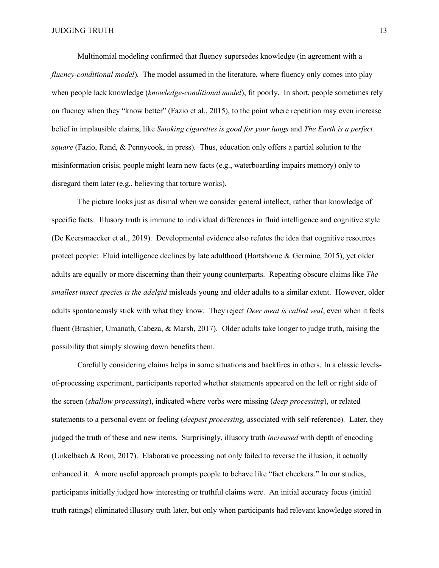Multinomial modeling confirmed that fluency supersedes knowledge (in agreement with a *fluency-conditional model*). The model assumed in the literature, where fluency only comes into play when people lack knowledge (*knowledge-conditional model*), fit poorly. In short, people sometimes rely on fluency when they "know better" (Fazio et al., 2015), to the point where repetition may even increase belief in implausible claims, like *Smoking cigarettes is good for your lungs* and *The Earth is a perfect square* (Fazio, Rand, & Pennycook, in press). Thus, education only offers a partial solution to the misinformation crisis; people might learn new facts (e.g., waterboarding impairs memory) only to disregard them later (e.g., believing that torture works).

The picture looks just as dismal when we consider general intellect, rather than knowledge of specific facts: Illusory truth is immune to individual differences in fluid intelligence and cognitive style (De Keersmaecker et al., 2019). Developmental evidence also refutes the idea that cognitive resources protect people: Fluid intelligence declines by late adulthood (Hartshorne & Germine, 2015), yet older adults are equally or more discerning than their young counterparts. Repeating obscure claims like *The smallest insect species is the adelgid* misleads young and older adults to a similar extent. However, older adults spontaneously stick with what they know. They reject *Deer meat is called veal*, even when it feels fluent (Brashier, Umanath, Cabeza, & Marsh, 2017). Older adults take longer to judge truth, raising the possibility that simply slowing down benefits them.

Carefully considering claims helps in some situations and backfires in others. In a classic levelsof-processing experiment, participants reported whether statements appeared on the left or right side of the screen (*shallow processing*), indicated where verbs were missing (*deep processing*), or related statements to a personal event or feeling (*deepest processing,* associated with self-reference). Later, they judged the truth of these and new items. Surprisingly, illusory truth *increased* with depth of encoding (Unkelbach & Rom, 2017). Elaborative processing not only failed to reverse the illusion, it actually enhanced it. A more useful approach prompts people to behave like "fact checkers." In our studies, participants initially judged how interesting or truthful claims were. An initial accuracy focus (initial truth ratings) eliminated illusory truth later, but only when participants had relevant knowledge stored in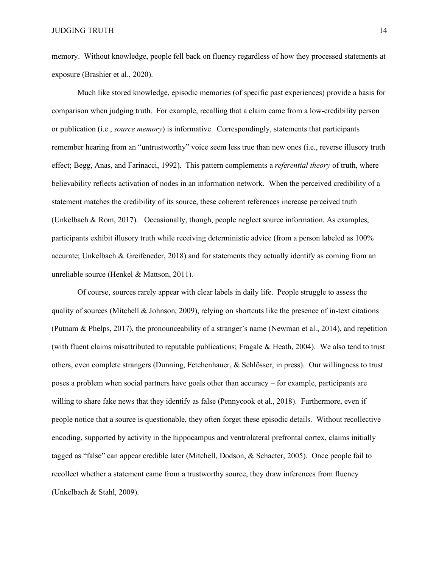memory. Without knowledge, people fell back on fluency regardless of how they processed statements at exposure (Brashier et al., 2020).

Much like stored knowledge, episodic memories (of specific past experiences) provide a basis for comparison when judging truth. For example, recalling that a claim came from a low-credibility person or publication (i.e., *source memory*) is informative. Correspondingly, statements that participants remember hearing from an "untrustworthy" voice seem less true than new ones (i.e., reverse illusory truth effect; Begg, Anas, and Farinacci, 1992). This pattern complements a *referential theory* of truth, where believability reflects activation of nodes in an information network. When the perceived credibility of a statement matches the credibility of its source, these coherent references increase perceived truth (Unkelbach & Rom, 2017). Occasionally, though, people neglect source information. As examples, participants exhibit illusory truth while receiving deterministic advice (from a person labeled as 100% accurate; Unkelbach & Greifeneder, 2018) and for statements they actually identify as coming from an unreliable source (Henkel & Mattson, 2011).

Of course, sources rarely appear with clear labels in daily life. People struggle to assess the quality of sources (Mitchell & Johnson, 2009), relying on shortcuts like the presence of in-text citations (Putnam & Phelps, 2017), the pronounceability of a stranger's name (Newman et al., 2014), and repetition (with fluent claims misattributed to reputable publications; Fragale & Heath, 2004). We also tend to trust others, even complete strangers (Dunning, Fetchenhauer, & Schlösser, in press). Our willingness to trust poses a problem when social partners have goals other than accuracy – for example, participants are willing to share fake news that they identify as false (Pennycook et al., 2018). Furthermore, even if people notice that a source is questionable, they often forget these episodic details. Without recollective encoding, supported by activity in the hippocampus and ventrolateral prefrontal cortex, claims initially tagged as "false" can appear credible later (Mitchell, Dodson, & Schacter, 2005). Once people fail to recollect whether a statement came from a trustworthy source, they draw inferences from fluency (Unkelbach & Stahl, 2009).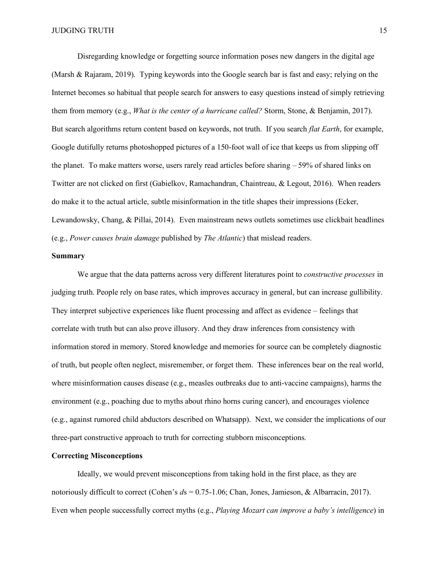Disregarding knowledge or forgetting source information poses new dangers in the digital age (Marsh & Rajaram, 2019). Typing keywords into the Google search bar is fast and easy; relying on the Internet becomes so habitual that people search for answers to easy questions instead of simply retrieving them from memory (e.g., *What is the center of a hurricane called?* Storm, Stone, & Benjamin, 2017). But search algorithms return content based on keywords, not truth. If you search *flat Earth*, for example, Google dutifully returns photoshopped pictures of a 150-foot wall of ice that keeps us from slipping off the planet. To make matters worse, users rarely read articles before sharing – 59% of shared links on Twitter are not clicked on first (Gabielkov, Ramachandran, Chaintreau, & Legout, 2016). When readers do make it to the actual article, subtle misinformation in the title shapes their impressions (Ecker, Lewandowsky, Chang, & Pillai, 2014). Even mainstream news outlets sometimes use clickbait headlines (e.g., *Power causes brain damage* published by *The Atlantic*) that mislead readers.

# **Summary**

We argue that the data patterns across very different literatures point to *constructive processes* in judging truth. People rely on base rates, which improves accuracy in general, but can increase gullibility. They interpret subjective experiences like fluent processing and affect as evidence – feelings that correlate with truth but can also prove illusory. And they draw inferences from consistency with information stored in memory. Stored knowledge and memories for source can be completely diagnostic of truth, but people often neglect, misremember, or forget them. These inferences bear on the real world, where misinformation causes disease (e.g., measles outbreaks due to anti-vaccine campaigns), harms the environment (e.g., poaching due to myths about rhino horns curing cancer), and encourages violence (e.g., against rumored child abductors described on Whatsapp). Next, we consider the implications of our three-part constructive approach to truth for correcting stubborn misconceptions.

## **Correcting Misconceptions**

Ideally, we would prevent misconceptions from taking hold in the first place, as they are notoriously difficult to correct (Cohen's *d*s = 0.75-1.06; Chan, Jones, Jamieson, & Albarracín, 2017). Even when people successfully correct myths (e.g., *Playing Mozart can improve a baby's intelligence*) in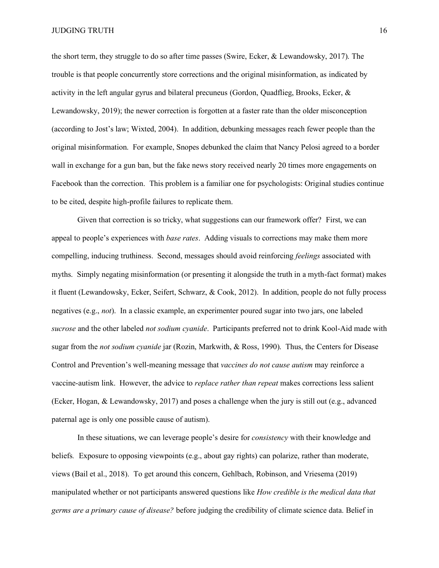JUDGING TRUTH 16

the short term, they struggle to do so after time passes (Swire, Ecker, & Lewandowsky, 2017). The trouble is that people concurrently store corrections and the original misinformation, as indicated by activity in the left angular gyrus and bilateral precuneus (Gordon, Quadflieg, Brooks, Ecker, & Lewandowsky, 2019); the newer correction is forgotten at a faster rate than the older misconception (according to Jost's law; Wixted, 2004). In addition, debunking messages reach fewer people than the original misinformation. For example, Snopes debunked the claim that Nancy Pelosi agreed to a border wall in exchange for a gun ban, but the fake news story received nearly 20 times more engagements on Facebook than the correction. This problem is a familiar one for psychologists: Original studies continue to be cited, despite high-profile failures to replicate them.

Given that correction is so tricky, what suggestions can our framework offer? First, we can appeal to people's experiences with *base rates*. Adding visuals to corrections may make them more compelling, inducing truthiness. Second, messages should avoid reinforcing *feelings* associated with myths. Simply negating misinformation (or presenting it alongside the truth in a myth-fact format) makes it fluent (Lewandowsky, Ecker, Seifert, Schwarz, & Cook, 2012). In addition, people do not fully process negatives (e.g., *not*). In a classic example, an experimenter poured sugar into two jars, one labeled *sucrose* and the other labeled *not sodium cyanide*. Participants preferred not to drink Kool-Aid made with sugar from the *not sodium cyanide* jar (Rozin, Markwith, & Ross, 1990). Thus, the Centers for Disease Control and Prevention's well-meaning message that *vaccines do not cause autism* may reinforce a vaccine-autism link. However, the advice to *replace rather than repeat* makes corrections less salient (Ecker, Hogan, & Lewandowsky, 2017) and poses a challenge when the jury is still out (e.g., advanced paternal age is only one possible cause of autism).

In these situations, we can leverage people's desire for *consistency* with their knowledge and beliefs*.* Exposure to opposing viewpoints (e.g., about gay rights) can polarize, rather than moderate, views (Bail et al., 2018). To get around this concern, Gehlbach, Robinson, and Vriesema (2019) manipulated whether or not participants answered questions like *How credible is the medical data that germs are a primary cause of disease?* before judging the credibility of climate science data. Belief in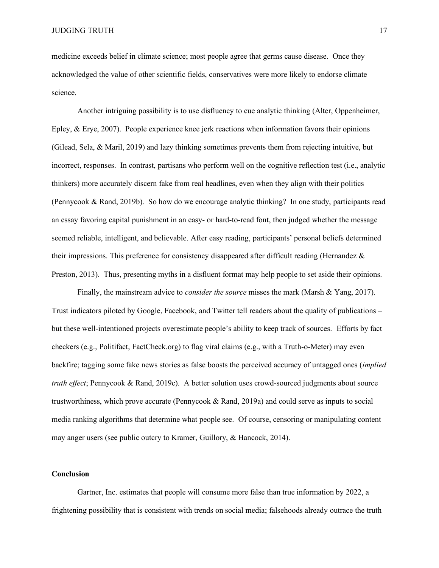medicine exceeds belief in climate science; most people agree that germs cause disease. Once they acknowledged the value of other scientific fields, conservatives were more likely to endorse climate science.

Another intriguing possibility is to use disfluency to cue analytic thinking (Alter, Oppenheimer, Epley, & Erye, 2007). People experience knee jerk reactions when information favors their opinions (Gilead, Sela, & Maril, 2019) and lazy thinking sometimes prevents them from rejecting intuitive, but incorrect, responses. In contrast, partisans who perform well on the cognitive reflection test (i.e., analytic thinkers) more accurately discern fake from real headlines, even when they align with their politics (Pennycook & Rand, 2019b). So how do we encourage analytic thinking? In one study, participants read an essay favoring capital punishment in an easy- or hard-to-read font, then judged whether the message seemed reliable, intelligent, and believable. After easy reading, participants' personal beliefs determined their impressions. This preference for consistency disappeared after difficult reading (Hernandez & Preston, 2013). Thus, presenting myths in a disfluent format may help people to set aside their opinions.

Finally, the mainstream advice to *consider the source* misses the mark (Marsh & Yang, 2017). Trust indicators piloted by Google, Facebook, and Twitter tell readers about the quality of publications – but these well-intentioned projects overestimate people's ability to keep track of sources. Efforts by fact checkers (e.g., Politifact, FactCheck.org) to flag viral claims (e.g., with a Truth-o-Meter) may even backfire; tagging some fake news stories as false boosts the perceived accuracy of untagged ones (*implied truth effect*; Pennycook & Rand, 2019c). A better solution uses crowd-sourced judgments about source trustworthiness, which prove accurate (Pennycook & Rand, 2019a) and could serve as inputs to social media ranking algorithms that determine what people see. Of course, censoring or manipulating content may anger users (see public outcry to Kramer, Guillory, & Hancock, 2014).

## **Conclusion**

Gartner, Inc. estimates that people will consume more false than true information by 2022, a frightening possibility that is consistent with trends on social media; falsehoods already outrace the truth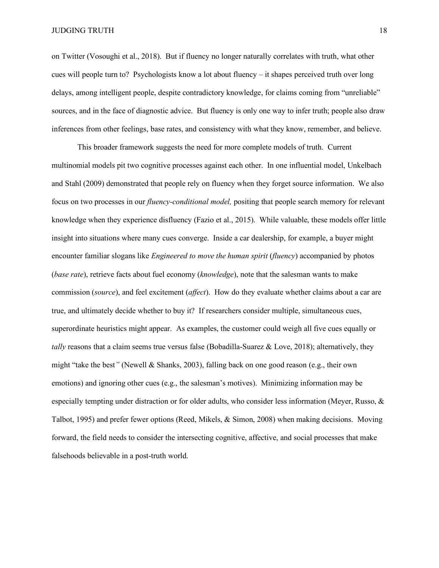on Twitter (Vosoughi et al., 2018). But if fluency no longer naturally correlates with truth, what other cues will people turn to? Psychologists know a lot about fluency – it shapes perceived truth over long delays, among intelligent people, despite contradictory knowledge, for claims coming from "unreliable" sources, and in the face of diagnostic advice. But fluency is only one way to infer truth; people also draw inferences from other feelings, base rates, and consistency with what they know, remember, and believe.

This broader framework suggests the need for more complete models of truth. Current multinomial models pit two cognitive processes against each other. In one influential model, Unkelbach and Stahl (2009) demonstrated that people rely on fluency when they forget source information. We also focus on two processes in our *fluency-conditional model,* positing that people search memory for relevant knowledge when they experience disfluency (Fazio et al., 2015). While valuable, these models offer little insight into situations where many cues converge. Inside a car dealership, for example, a buyer might encounter familiar slogans like *Engineered to move the human spirit* (*fluency*) accompanied by photos (*base rate*), retrieve facts about fuel economy (*knowledge*), note that the salesman wants to make commission (*source*), and feel excitement (*affect*). How do they evaluate whether claims about a car are true, and ultimately decide whether to buy it? If researchers consider multiple, simultaneous cues, superordinate heuristics might appear. As examples, the customer could weigh all five cues equally or *tally* reasons that a claim seems true versus false (Bobadilla-Suarez & Love, 2018); alternatively, they might "take the best*"* (Newell & Shanks, 2003), falling back on one good reason (e.g., their own emotions) and ignoring other cues (e.g., the salesman's motives). Minimizing information may be especially tempting under distraction or for older adults, who consider less information (Meyer, Russo, & Talbot, 1995) and prefer fewer options (Reed, Mikels, & Simon, 2008) when making decisions. Moving forward, the field needs to consider the intersecting cognitive, affective, and social processes that make falsehoods believable in a post-truth world.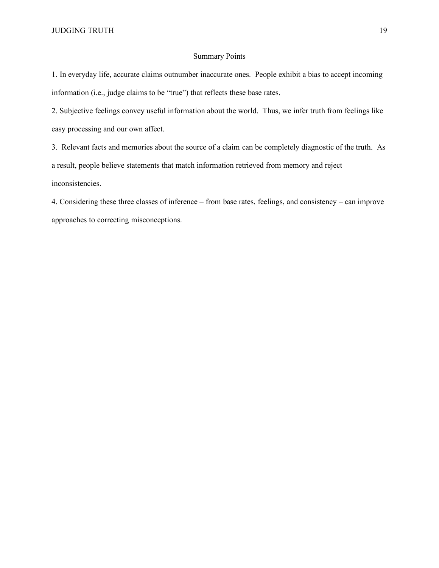## Summary Points

1. In everyday life, accurate claims outnumber inaccurate ones. People exhibit a bias to accept incoming information (i.e., judge claims to be "true") that reflects these base rates.

2. Subjective feelings convey useful information about the world. Thus, we infer truth from feelings like easy processing and our own affect.

3. Relevant facts and memories about the source of a claim can be completely diagnostic of the truth. As a result, people believe statements that match information retrieved from memory and reject inconsistencies.

4. Considering these three classes of inference – from base rates, feelings, and consistency – can improve approaches to correcting misconceptions.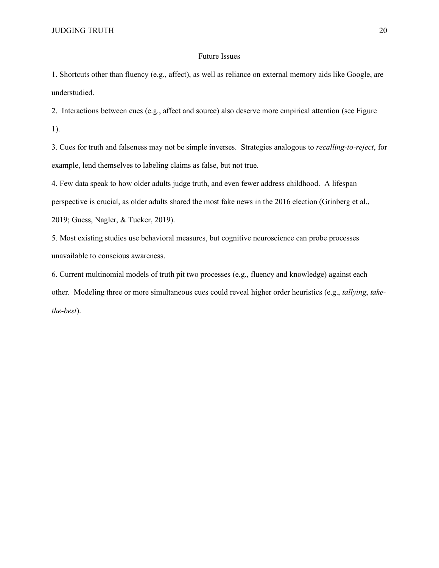## Future Issues

1. Shortcuts other than fluency (e.g., affect), as well as reliance on external memory aids like Google, are understudied.

2. Interactions between cues (e.g., affect and source) also deserve more empirical attention (see Figure 1).

3. Cues for truth and falseness may not be simple inverses. Strategies analogous to *recalling-to-reject*, for example, lend themselves to labeling claims as false, but not true.

4. Few data speak to how older adults judge truth, and even fewer address childhood. A lifespan

perspective is crucial, as older adults shared the most fake news in the 2016 election (Grinberg et al.,

2019; Guess, Nagler, & Tucker, 2019).

5. Most existing studies use behavioral measures, but cognitive neuroscience can probe processes unavailable to conscious awareness.

6. Current multinomial models of truth pit two processes (e.g., fluency and knowledge) against each other. Modeling three or more simultaneous cues could reveal higher order heuristics (e.g., *tallying*, *takethe-best*).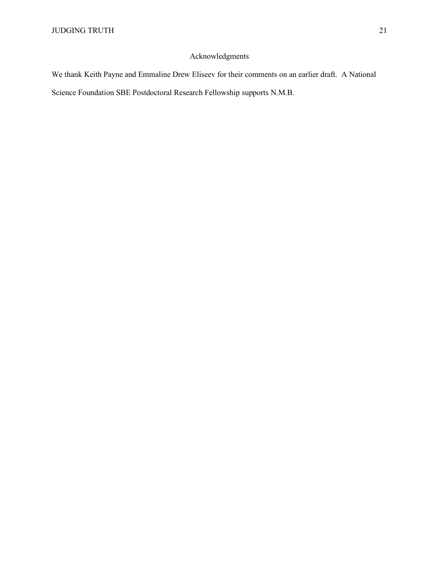# Acknowledgments

We thank Keith Payne and Emmaline Drew Eliseev for their comments on an earlier draft. A National Science Foundation SBE Postdoctoral Research Fellowship supports N.M.B.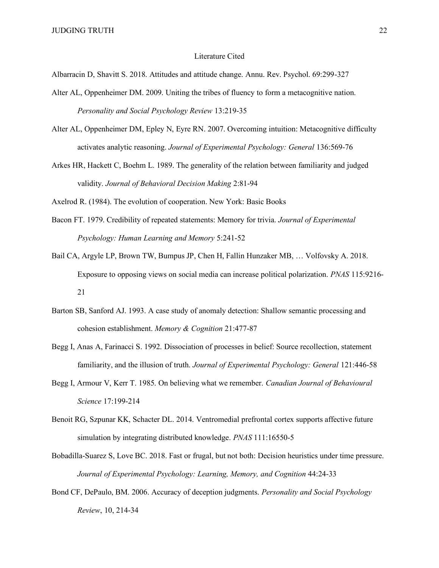#### Literature Cited

Albarracin D, Shavitt S. 2018. Attitudes and attitude change. Annu. Rev. Psychol. 69:299-327

- Alter AL, Oppenheimer DM. 2009. Uniting the tribes of fluency to form a metacognitive nation. *Personality and Social Psychology Review* 13:219-35
- Alter AL, Oppenheimer DM, Epley N, Eyre RN. 2007. Overcoming intuition: Metacognitive difficulty activates analytic reasoning. *Journal of Experimental Psychology: General* 136:569-76
- Arkes HR, Hackett C, Boehm L. 1989. The generality of the relation between familiarity and judged validity. *Journal of Behavioral Decision Making* 2:81-94

Axelrod R. (1984). The evolution of cooperation. New York: Basic Books

- Bacon FT. 1979. Credibility of repeated statements: Memory for trivia. *Journal of Experimental Psychology: Human Learning and Memory* 5:241-52
- Bail CA, Argyle LP, Brown TW, Bumpus JP, Chen H, Fallin Hunzaker MB, … Volfovsky A. 2018. Exposure to opposing views on social media can increase political polarization. *PNAS* 115:9216- 21
- Barton SB, Sanford AJ. 1993. A case study of anomaly detection: Shallow semantic processing and cohesion establishment. *Memory & Cognition* 21:477-87
- Begg I, Anas A, Farinacci S. 1992. Dissociation of processes in belief: Source recollection, statement familiarity, and the illusion of truth. *Journal of Experimental Psychology: General* 121:446-58
- Begg I, Armour V, Kerr T. 1985. On believing what we remember. *Canadian Journal of Behavioural Science* 17:199-214
- Benoit RG, Szpunar KK, Schacter DL. 2014. Ventromedial prefrontal cortex supports affective future simulation by integrating distributed knowledge. *PNAS* 111:16550-5
- Bobadilla-Suarez S, Love BC. 2018. Fast or frugal, but not both: Decision heuristics under time pressure. *Journal of Experimental Psychology: Learning, Memory, and Cognition* 44:24-33
- Bond CF, DePaulo, BM. 2006. Accuracy of deception judgments. *Personality and Social Psychology Review*, 10, 214-34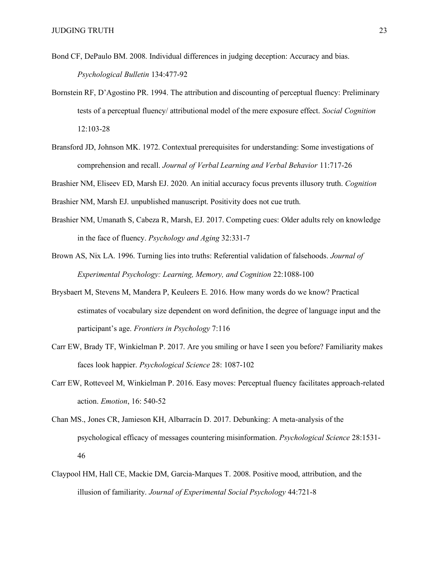- Bond CF, DePaulo BM. 2008. Individual differences in judging deception: Accuracy and bias. *Psychological Bulletin* 134:477-92
- Bornstein RF, D'Agostino PR. 1994. The attribution and discounting of perceptual fluency: Preliminary tests of a perceptual fluency/ attributional model of the mere exposure effect. *Social Cognition* 12:103-28
- Bransford JD, Johnson MK. 1972. Contextual prerequisites for understanding: Some investigations of comprehension and recall. *Journal of Verbal Learning and Verbal Behavior* 11:717-26

Brashier NM, Eliseev ED, Marsh EJ. 2020. An initial accuracy focus prevents illusory truth. *Cognition*

Brashier NM, Marsh EJ. unpublished manuscript. Positivity does not cue truth.

- Brashier NM, Umanath S, Cabeza R, Marsh, EJ. 2017. Competing cues: Older adults rely on knowledge in the face of fluency. *Psychology and Aging* 32:331-7
- Brown AS, Nix LA. 1996. Turning lies into truths: Referential validation of falsehoods. *Journal of Experimental Psychology: Learning, Memory, and Cognition* 22:1088-100
- Brysbaert M, Stevens M, Mandera P, Keuleers E. 2016. How many words do we know? Practical estimates of vocabulary size dependent on word definition, the degree of language input and the participant's age. *Frontiers in Psychology* 7:116
- Carr EW, Brady TF, Winkielman P. 2017. Are you smiling or have I seen you before? Familiarity makes faces look happier. *Psychological Science* 28: 1087-102
- Carr EW, Rotteveel M, Winkielman P. 2016. Easy moves: Perceptual fluency facilitates approach-related action. *Emotion*, 16: 540-52
- Chan MS., Jones CR, Jamieson KH, Albarracín D. 2017. Debunking: A meta-analysis of the psychological efficacy of messages countering misinformation. *Psychological Science* 28:1531- 46
- Claypool HM, Hall CE, Mackie DM, Garcia-Marques T. 2008. Positive mood, attribution, and the illusion of familiarity. *Journal of Experimental Social Psychology* 44:721-8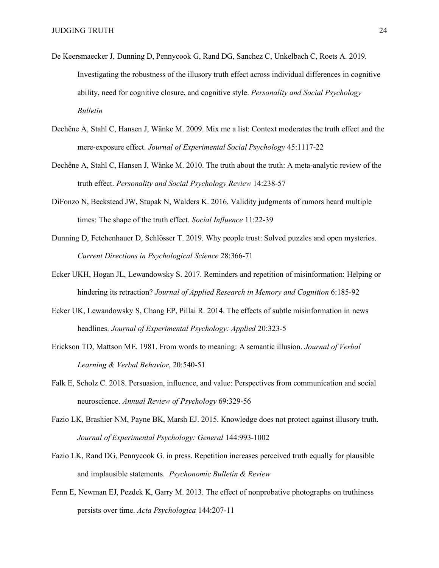- De Keersmaecker J, Dunning D, Pennycook G, Rand DG, Sanchez C, Unkelbach C, Roets A. 2019. Investigating the robustness of the illusory truth effect across individual differences in cognitive ability, need for cognitive closure, and cognitive style. *Personality and Social Psychology Bulletin*
- Dechêne A, Stahl C, Hansen J, Wänke M. 2009. Mix me a list: Context moderates the truth effect and the mere-exposure effect. *Journal of Experimental Social Psychology* 45:1117-22
- Dechêne A, Stahl C, Hansen J, Wänke M. 2010. The truth about the truth: A meta-analytic review of the truth effect. *Personality and Social Psychology Review* 14:238-57
- DiFonzo N, Beckstead JW, Stupak N, Walders K. 2016. Validity judgments of rumors heard multiple times: The shape of the truth effect. *Social Influence* 11:22-39
- Dunning D, Fetchenhauer D, Schlösser T. 2019. Why people trust: Solved puzzles and open mysteries. *Current Directions in Psychological Science* 28:366-71
- Ecker UKH, Hogan JL, Lewandowsky S. 2017. Reminders and repetition of misinformation: Helping or hindering its retraction? *Journal of Applied Research in Memory and Cognition* 6:185-92
- Ecker UK, Lewandowsky S, Chang EP, Pillai R. 2014. The effects of subtle misinformation in news headlines. *Journal of Experimental Psychology: Applied* 20:323-5
- Erickson TD, Mattson ME. 1981. From words to meaning: A semantic illusion. *Journal of Verbal Learning & Verbal Behavior*, 20:540-51
- Falk E, Scholz C. 2018. Persuasion, influence, and value: Perspectives from communication and social neuroscience. *Annual Review of Psychology* 69:329-56
- Fazio LK, Brashier NM, Payne BK, Marsh EJ. 2015. Knowledge does not protect against illusory truth. *Journal of Experimental Psychology: General* 144:993-1002
- Fazio LK, Rand DG, Pennycook G. in press. Repetition increases perceived truth equally for plausible and implausible statements. *Psychonomic Bulletin & Review*
- Fenn E, Newman EJ, Pezdek K, Garry M. 2013. The effect of nonprobative photographs on truthiness persists over time. *Acta Psychologica* 144:207-11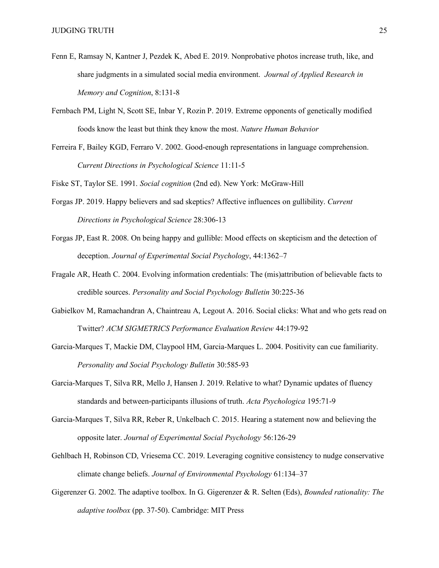- Fenn E, Ramsay N, Kantner J, Pezdek K, Abed E. 2019. Nonprobative photos increase truth, like, and share judgments in a simulated social media environment. *Journal of Applied Research in Memory and Cognition*, 8:131-8
- Fernbach PM, Light N, Scott SE, Inbar Y, Rozin P. 2019. Extreme opponents of genetically modified foods know the least but think they know the most. *Nature Human Behavior*
- Ferreira F, Bailey KGD, Ferraro V. 2002. Good-enough representations in language comprehension. *Current Directions in Psychological Science* 11:11-5

Fiske ST, Taylor SE. 1991. *Social cognition* (2nd ed). New York: McGraw-Hill

- Forgas JP. 2019. Happy believers and sad skeptics? Affective influences on gullibility. *Current Directions in Psychological Science* 28:306-13
- Forgas JP, East R. 2008. On being happy and gullible: Mood effects on skepticism and the detection of deception. *Journal of Experimental Social Psychology*, 44:1362–7
- Fragale AR, Heath C. 2004. Evolving information credentials: The (mis)attribution of believable facts to credible sources. *Personality and Social Psychology Bulletin* 30:225-36
- Gabielkov M, Ramachandran A, Chaintreau A, Legout A. 2016. Social clicks: What and who gets read on Twitter? *ACM SIGMETRICS Performance Evaluation Review* 44:179-92
- Garcia-Marques T, Mackie DM, Claypool HM, Garcia-Marques L. 2004. Positivity can cue familiarity. *Personality and Social Psychology Bulletin* 30:585-93
- Garcia-Marques T, Silva RR, Mello J, Hansen J. 2019. Relative to what? Dynamic updates of fluency standards and between-participants illusions of truth. *Acta Psychologica* 195:71-9
- Garcia-Marques T, Silva RR, Reber R, Unkelbach C. 2015. Hearing a statement now and believing the opposite later. *Journal of Experimental Social Psychology* 56:126-29
- Gehlbach H, Robinson CD, Vriesema CC. 2019. Leveraging cognitive consistency to nudge conservative climate change beliefs. *Journal of Environmental Psychology* 61:134–37
- Gigerenzer G. 2002. The adaptive toolbox. In G. Gigerenzer & R. Selten (Eds), *Bounded rationality: The adaptive toolbox* (pp. 37-50). Cambridge: MIT Press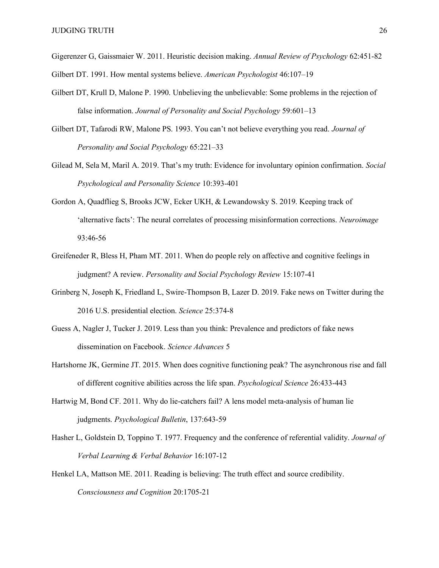Gigerenzer G, Gaissmaier W. 2011. Heuristic decision making. *Annual Review of Psychology* 62:451-82

- Gilbert DT. 1991. How mental systems believe. *American Psychologist* 46:107–19
- Gilbert DT, Krull D, Malone P. 1990. Unbelieving the unbelievable: Some problems in the rejection of false information. *Journal of Personality and Social Psychology* 59:601–13
- Gilbert DT, Tafarodi RW, Malone PS. 1993. You can't not believe everything you read. *Journal of Personality and Social Psychology* 65:221–33
- Gilead M, Sela M, Maril A. 2019. That's my truth: Evidence for involuntary opinion confirmation. *Social Psychological and Personality Science* 10:393-401
- Gordon A, Quadflieg S, Brooks JCW, Ecker UKH, & Lewandowsky S. 2019. Keeping track of 'alternative facts': The neural correlates of processing misinformation corrections. *Neuroimage* 93:46-56
- Greifeneder R, Bless H, Pham MT. 2011. When do people rely on affective and cognitive feelings in judgment? A review. *Personality and Social Psychology Review* 15:107-41
- Grinberg N, Joseph K, Friedland L, Swire-Thompson B, Lazer D. 2019. Fake news on Twitter during the 2016 U.S. presidential election. *Science* 25:374-8
- Guess A, Nagler J, Tucker J. 2019. Less than you think: Prevalence and predictors of fake news dissemination on Facebook. *Science Advances* 5
- Hartshorne JK, Germine JT. 2015. When does cognitive functioning peak? The asynchronous rise and fall of different cognitive abilities across the life span. *Psychological Science* 26:433-443
- Hartwig M, Bond CF. 2011. Why do lie-catchers fail? A lens model meta-analysis of human lie judgments. *Psychological Bulletin*, 137:643-59
- Hasher L, Goldstein D, Toppino T. 1977. Frequency and the conference of referential validity. *Journal of Verbal Learning & Verbal Behavior* 16:107-12
- Henkel LA, Mattson ME. 2011. Reading is believing: The truth effect and source credibility. *Consciousness and Cognition* 20:1705-21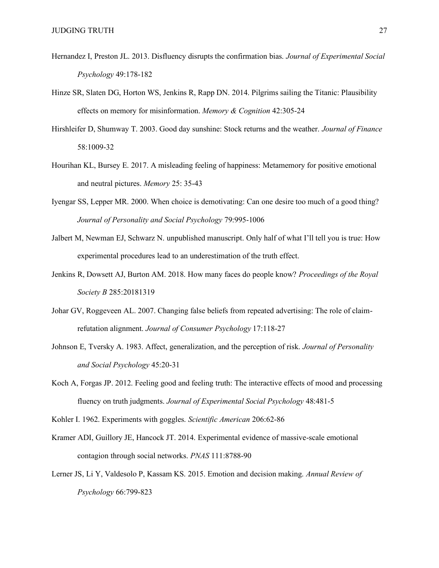- Hernandez I, Preston JL. 2013. Disfluency disrupts the confirmation bias. *Journal of Experimental Social Psychology* 49:178-182
- Hinze SR, Slaten DG, Horton WS, Jenkins R, Rapp DN. 2014. Pilgrims sailing the Titanic: Plausibility effects on memory for misinformation. *Memory & Cognition* 42:305-24
- Hirshleifer D, Shumway T. 2003. Good day sunshine: Stock returns and the weather. *Journal of Finance* 58:1009-32
- Hourihan KL, Bursey E. 2017. A misleading feeling of happiness: Metamemory for positive emotional and neutral pictures. *Memory* 25: 35-43
- Iyengar SS, Lepper MR. 2000. When choice is demotivating: Can one desire too much of a good thing? *Journal of Personality and Social Psychology* 79:995-1006
- Jalbert M, Newman EJ, Schwarz N. unpublished manuscript. Only half of what I'll tell you is true: How experimental procedures lead to an underestimation of the truth effect.
- Jenkins R, Dowsett AJ, Burton AM. 2018. How many faces do people know? *Proceedings of the Royal Society B* 285:20181319
- Johar GV, Roggeveen AL. 2007. Changing false beliefs from repeated advertising: The role of claimrefutation alignment. *Journal of Consumer Psychology* 17:118-27
- Johnson E, Tversky A. 1983. Affect, generalization, and the perception of risk. *Journal of Personality and Social Psychology* 45:20-31
- Koch A, Forgas JP. 2012. Feeling good and feeling truth: The interactive effects of mood and processing fluency on truth judgments. *Journal of Experimental Social Psychology* 48:481-5

Kohler I. 1962. Experiments with goggles. *Scientific American* 206:62-86

- Kramer ADI, Guillory JE, Hancock JT. 2014. Experimental evidence of massive-scale emotional contagion through social networks. *PNAS* 111:8788-90
- Lerner JS, Li Y, Valdesolo P, Kassam KS. 2015. Emotion and decision making. *Annual Review of Psychology* 66:799-823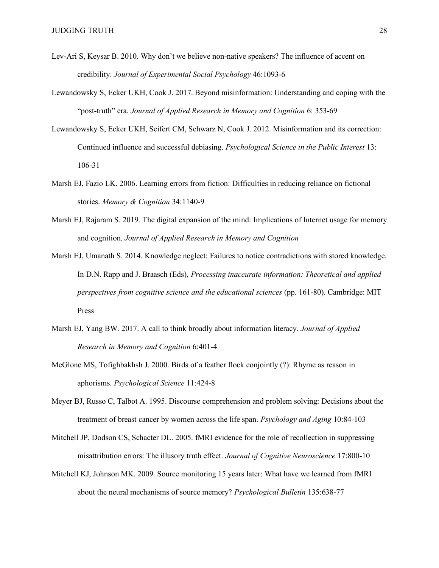- Lev-Ari S, Keysar B. 2010. Why don't we believe non-native speakers? The influence of accent on credibility. *Journal of Experimental Social Psychology* 46:1093-6
- Lewandowsky S, Ecker UKH, Cook J. 2017. Beyond misinformation: Understanding and coping with the "post-truth" era. *Journal of Applied Research in Memory and Cognition* 6: 353-69
- Lewandowsky S, Ecker UKH, Seifert CM, Schwarz N, Cook J. 2012. Misinformation and its correction: Continued influence and successful debiasing. *Psychological Science in the Public Interest* 13: 106-31
- Marsh EJ, Fazio LK. 2006. Learning errors from fiction: Difficulties in reducing reliance on fictional stories. *Memory & Cognition* 34:1140-9
- Marsh EJ, Rajaram S. 2019. The digital expansion of the mind: Implications of Internet usage for memory and cognition. *Journal of Applied Research in Memory and Cognition*
- Marsh EJ, Umanath S. 2014. Knowledge neglect: Failures to notice contradictions with stored knowledge. In D.N. Rapp and J. Braasch (Eds), *Processing inaccurate information: Theoretical and applied perspectives from cognitive science and the educational sciences* (pp. 161-80). Cambridge: MIT Press
- Marsh EJ, Yang BW. 2017. A call to think broadly about information literacy. *Journal of Applied Research in Memory and Cognition* 6:401-4
- McGlone MS, Tofighbakhsh J. 2000. Birds of a feather flock conjointly (?): Rhyme as reason in aphorisms. *Psychological Science* 11:424-8
- Meyer BJ, Russo C, Talbot A. 1995. Discourse comprehension and problem solving: Decisions about the treatment of breast cancer by women across the life span. *Psychology and Aging* 10:84-103
- Mitchell JP, Dodson CS, Schacter DL. 2005. fMRI evidence for the role of recollection in suppressing misattribution errors: The illusory truth effect. *Journal of Cognitive Neuroscience* 17:800-10
- Mitchell KJ, Johnson MK. 2009. Source monitoring 15 years later: What have we learned from fMRI about the neural mechanisms of source memory? *Psychological Bulletin* 135:638-77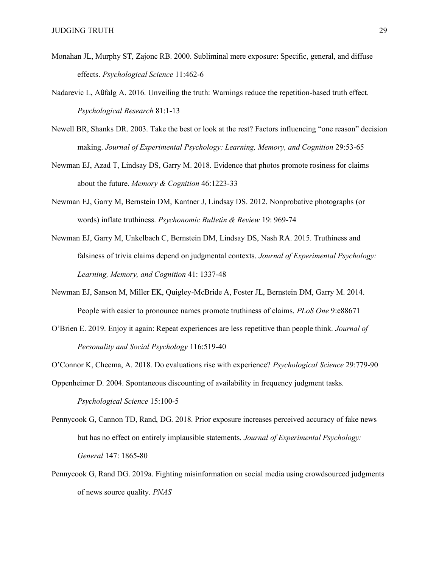- Monahan JL, Murphy ST, Zajonc RB. 2000. Subliminal mere exposure: Specific, general, and diffuse effects. *Psychological Science* 11:462-6
- Nadarevic L, Aßfalg A. 2016. Unveiling the truth: Warnings reduce the repetition-based truth effect. *Psychological Research* 81:1-13
- Newell BR, Shanks DR. 2003. Take the best or look at the rest? Factors influencing "one reason" decision making. *Journal of Experimental Psychology: Learning, Memory, and Cognition* 29:53-65
- Newman EJ, Azad T, Lindsay DS, Garry M. 2018. Evidence that photos promote rosiness for claims about the future. *Memory & Cognition* 46:1223-33
- Newman EJ, Garry M, Bernstein DM, Kantner J, Lindsay DS. 2012. Nonprobative photographs (or words) inflate truthiness. *Psychonomic Bulletin & Review* 19: 969-74
- Newman EJ, Garry M, Unkelbach C, Bernstein DM, Lindsay DS, Nash RA. 2015. Truthiness and falsiness of trivia claims depend on judgmental contexts. *Journal of Experimental Psychology: Learning, Memory, and Cognition* 41: 1337-48
- Newman EJ, Sanson M, Miller EK, Quigley-McBride A, Foster JL, Bernstein DM, Garry M. 2014. People with easier to pronounce names promote truthiness of claims. *PLoS One* 9:e88671
- O'Brien E. 2019. Enjoy it again: Repeat experiences are less repetitive than people think. *Journal of Personality and Social Psychology* 116:519-40
- O'Connor K, Cheema, A. 2018. Do evaluations rise with experience? *Psychological Science* 29:779-90
- Oppenheimer D. 2004. Spontaneous discounting of availability in frequency judgment tasks. *Psychological Science* 15:100-5
- Pennycook G, Cannon TD, Rand, DG. 2018. Prior exposure increases perceived accuracy of fake news but has no effect on entirely implausible statements. *Journal of Experimental Psychology: General* 147: 1865-80
- Pennycook G, Rand DG. 2019a. Fighting misinformation on social media using crowdsourced judgments of news source quality. *PNAS*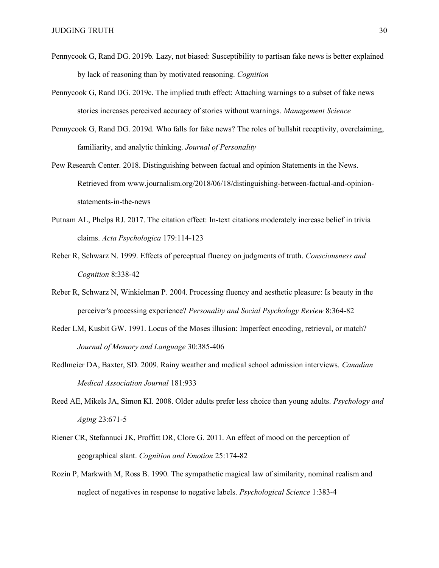- Pennycook G, Rand DG. 2019b. Lazy, not biased: Susceptibility to partisan fake news is better explained by lack of reasoning than by motivated reasoning. *Cognition*
- Pennycook G, Rand DG. 2019c. The implied truth effect: Attaching warnings to a subset of fake news stories increases perceived accuracy of stories without warnings. *Management Science*
- Pennycook G, Rand DG. 2019d. Who falls for fake news? The roles of bullshit receptivity, overclaiming, familiarity, and analytic thinking. *Journal of Personality*
- Pew Research Center. 2018. Distinguishing between factual and opinion Statements in the News. Retrieved from www.journalism.org/2018/06/18/distinguishing-between-factual-and-opinionstatements-in-the-news
- Putnam AL, Phelps RJ. 2017. The citation effect: In-text citations moderately increase belief in trivia claims. *Acta Psychologica* 179:114-123
- Reber R, Schwarz N. 1999. Effects of perceptual fluency on judgments of truth. *Consciousness and Cognition* 8:338-42
- Reber R, Schwarz N, Winkielman P. 2004. Processing fluency and aesthetic pleasure: Is beauty in the perceiver's processing experience? *Personality and Social Psychology Review* 8:364-82
- Reder LM, Kusbit GW. 1991. Locus of the Moses illusion: Imperfect encoding, retrieval, or match? *Journal of Memory and Language* 30:385-406
- Redlmeier DA, Baxter, SD. 2009. Rainy weather and medical school admission interviews. *Canadian Medical Association Journal* 181:933
- Reed AE, Mikels JA, Simon KI. 2008. Older adults prefer less choice than young adults. *Psychology and Aging* 23:671-5
- Riener CR, Stefannuci JK, Proffitt DR, Clore G. 2011. An effect of mood on the perception of geographical slant. *Cognition and Emotion* 25:174-82
- Rozin P, Markwith M, Ross B. 1990. The sympathetic magical law of similarity, nominal realism and neglect of negatives in response to negative labels. *Psychological Science* 1:383-4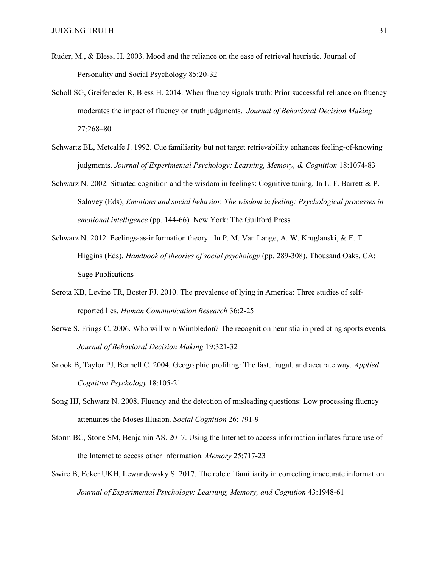- Ruder, M., & Bless, H. 2003. Mood and the reliance on the ease of retrieval heuristic. Journal of Personality and Social Psychology 85:20-32
- Scholl SG, Greifeneder R, Bless H. 2014. When fluency signals truth: Prior successful reliance on fluency moderates the impact of fluency on truth judgments. *Journal of Behavioral Decision Making* 27:268–80
- Schwartz BL, Metcalfe J. 1992. Cue familiarity but not target retrievability enhances feeling-of-knowing judgments. *Journal of Experimental Psychology: Learning, Memory, & Cognition* 18:1074-83
- Schwarz N. 2002. Situated cognition and the wisdom in feelings: Cognitive tuning. In L. F. Barrett & P. Salovey (Eds), *Emotions and social behavior. The wisdom in feeling: Psychological processes in emotional intelligence* (pp. 144-66). New York: The Guilford Press
- Schwarz N. 2012. Feelings-as-information theory. In P. M. Van Lange, A. W. Kruglanski, & E. T. Higgins (Eds), *Handbook of theories of social psychology* (pp. 289-308). Thousand Oaks, CA: Sage Publications
- Serota KB, Levine TR, Boster FJ. 2010. The prevalence of lying in America: Three studies of selfreported lies. *Human Communication Research* 36:2-25
- Serwe S, Frings C. 2006. Who will win Wimbledon? The recognition heuristic in predicting sports events. *Journal of Behavioral Decision Making* 19:321-32
- Snook B, Taylor PJ, Bennell C. 2004. Geographic profiling: The fast, frugal, and accurate way. *Applied Cognitive Psychology* 18:105-21
- Song HJ, Schwarz N. 2008. Fluency and the detection of misleading questions: Low processing fluency attenuates the Moses Illusion. *Social Cognition* 26: 791-9
- Storm BC, Stone SM, Benjamin AS. 2017. Using the Internet to access information inflates future use of the Internet to access other information. *Memory* 25:717-23
- Swire B, Ecker UKH, Lewandowsky S. 2017. The role of familiarity in correcting inaccurate information. *Journal of Experimental Psychology: Learning, Memory, and Cognition* 43:1948-61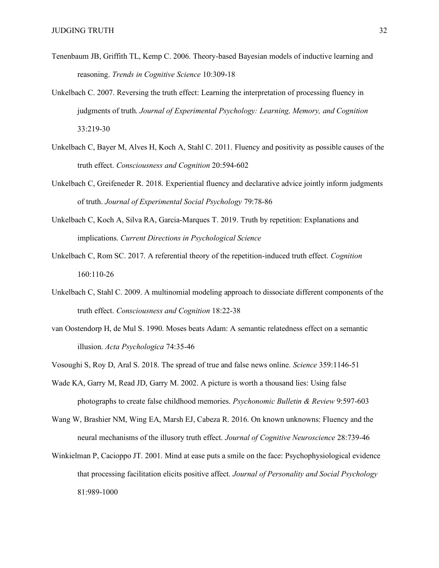- Tenenbaum JB, Griffith TL, Kemp C. 2006. Theory-based Bayesian models of inductive learning and reasoning. *Trends in Cognitive Science* 10:309-18
- Unkelbach C. 2007. Reversing the truth effect: Learning the interpretation of processing fluency in judgments of truth. *Journal of Experimental Psychology: Learning, Memory, and Cognition* 33:219-30
- Unkelbach C, Bayer M, Alves H, Koch A, Stahl C. 2011. Fluency and positivity as possible causes of the truth effect. *Consciousness and Cognition* 20:594-602
- Unkelbach C, Greifeneder R. 2018. Experiential fluency and declarative advice jointly inform judgments of truth. *Journal of Experimental Social Psychology* 79:78-86
- Unkelbach C, Koch A, Silva RA, Garcia-Marques T. 2019. Truth by repetition: Explanations and implications. *Current Directions in Psychological Science*
- Unkelbach C, Rom SC. 2017. A referential theory of the repetition-induced truth effect. *Cognition* 160:110-26
- Unkelbach C, Stahl C. 2009. A multinomial modeling approach to dissociate different components of the truth effect. *Consciousness and Cognition* 18:22-38
- van Oostendorp H, de Mul S. 1990. Moses beats Adam: A semantic relatedness effect on a semantic illusion. *Acta Psychologica* 74:35-46

Vosoughi S, Roy D, Aral S. 2018. The spread of true and false news online. *Science* 359:1146-51

- Wade KA, Garry M, Read JD, Garry M. 2002. A picture is worth a thousand lies: Using false photographs to create false childhood memories. *Psychonomic Bulletin & Review* 9:597-603
- Wang W, Brashier NM, Wing EA, Marsh EJ, Cabeza R. 2016. On known unknowns: Fluency and the neural mechanisms of the illusory truth effect. *Journal of Cognitive Neuroscience* 28:739-46
- Winkielman P, Cacioppo JT. 2001. Mind at ease puts a smile on the face: Psychophysiological evidence that processing facilitation elicits positive affect. *Journal of Personality and Social Psychology* 81:989-1000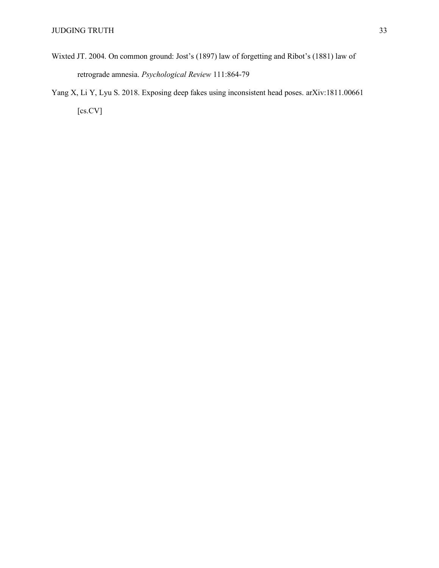- Wixted JT. 2004. On common ground: Jost's (1897) law of forgetting and Ribot's (1881) law of retrograde amnesia. *Psychological Review* 111:864-79
- Yang X, Li Y, Lyu S. 2018. Exposing deep fakes using inconsistent head poses. arXiv:1811.00661 [cs.CV]